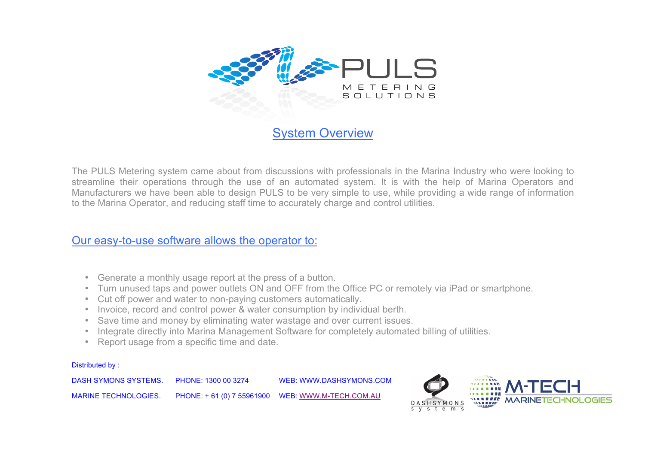

The PULS Metering system came about from discussions with professionals in the Marina Industry who were looking to streamline their operations through the use of an automated system. It is with the help of Marina Operators and Manufacturers we have been able to design PULS to be very simple to use, while providing a wide range of information to the Marina Operator, and reducing staff time to accurately charge and control utilities.

## Our easy-to-use software allows the operator to:

- Generate a monthly usage report at the press of a button.
- Turn unused taps and power outlets ON and OFF from the Office PC or remotely via iPad or smartphone.
- Cut off power and water to non-paying customers automatically.
- Invoice, record and control power & water consumption by individual berth.
- Save time and money by eliminating water wastage and over current issues.
- Integrate directly into Marina Management Software for completely automated billing of utilities.
- Report usage from a specific time and date.

## Distributed by :

DASH SYMONS SYSTEMS. PHONE: 1300 00 3274 WEB: WWW.DASHSYMONS.COM MARINE TECHNOLOGIES. PHONE: + 61 (0) 7 55961900 WEB: WWW.M-TECH.COM.AU

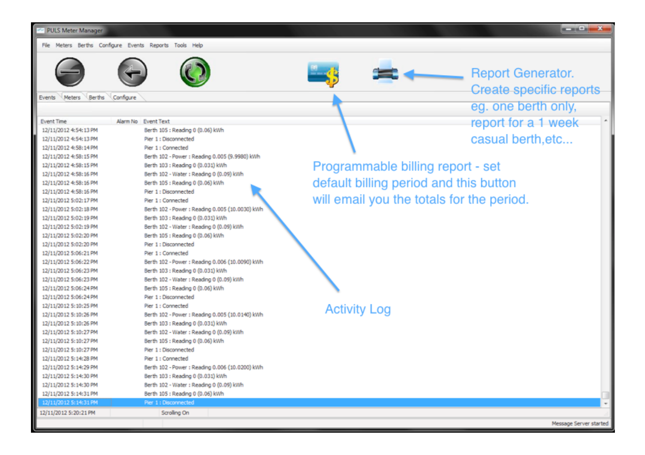| PULS Meter Manager |  |  |  |
|--------------------|--|--|--|
|                    |  |  |  |

File Meters Berths Configure Events Reports Tools Help



Events Meters Berths Configure







**Report Generator.** Create specific reports eg. one berth only, report for a 1 week casual berth, etc...

rt - set is button the period.

Message Server started

| <b>Event Time</b>     | Alarm No Event Text                            |                               |
|-----------------------|------------------------------------------------|-------------------------------|
| 12/11/2012 4:54:13 PM | Berth 105 : Reading 0 (0.06) kWh               |                               |
| 12/11/2012 4:54:13 PM | Pier 1 : Disconnected                          |                               |
| 12/11/2012 4:58:14 PM | Pier 1 : Connected                             |                               |
| 12/11/2012 4:58:15 PM | Berth 102 - Power: Reading 0.005 (9.9980) kWh  |                               |
| 12/11/2012 4:58:15 PM | Berth 103 : Reading 0 (0.031) kWh              | Programmable billing repor    |
| 12/11/2012 4:58:16 PM | Berth 102 - Water : Reading 0 (0.09) kWh       |                               |
| 12/11/2012 4:58:16 PM | Berth 105 : Reading 0 (0.06) kWh               | default billing period and th |
| 12/11/2012 4:58:16 PM | Pier 1 : Disconnected                          |                               |
| 12/11/2012 5:02:17 PM | Pier 1: Connected                              | will email you the totals for |
| 12/11/2012 5:02:18 PM | Berth 102 - Power: Reading 0.005 (10.0030) kWh |                               |
| 12/11/2012 5:02:19 PM | Berth 103 : Reading 0 (0.031) kWh              |                               |
| 12/11/2012 5:02:19 PM | Berth 102 - Water : Reading 0 (0.09) kWh       |                               |
| 12/11/2012 5:02:20 PM | Berth 105 : Reading 0 (0.06) kWh               |                               |
| 12/11/2012 5:02:20 PM | Pier 1 : Disconnected                          |                               |
| 12/11/2012 5:06:21 PM | Pier 1 : Connected                             |                               |
| 12/11/2012 5:06:22 PM | Berth 102 - Power: Reading 0.006 (10.0090) kWh |                               |
| 12/11/2012 5:06:23 PM | Berth 103 : Reading 0 (0.031) kWh              |                               |
| 12/11/2012 5:06:23 PM | Berth 102 - Water : Reading 0 (0.09) kWh       |                               |
| 12/11/2012 5:06:24 PM | Berth 105 : Reading 0 (0.06) kWh               |                               |
| 12/11/2012 5:06:24 PM | Pier 1 : Disconnected                          |                               |
| 12/11/2012 5:10:25 PM | Pier 1: Connected                              | <b>Activity Log</b>           |
| 12/11/2012 5:10:26 PM | Berth 102 - Power: Reading 0.005 (10.0140) kWh |                               |
| 12/11/2012 5:10:26 PM | Berth 103 : Reading 0 (0.031) kWh              |                               |
| 12/11/2012 5:10:27 PM | Berth 102 - Water : Reading 0 (0.09) kWh       |                               |
| 12/11/2012 5:10:27 PM | Berth 105 : Reading 0 (0.06) kWh               |                               |
| 12/11/2012 5:10:27 PM | Pier 1 : Disconnected                          |                               |
| 12/11/2012 5:14:28 PM | Pier 1 : Connected                             |                               |
| 12/11/2012 5:14:29 PM | Berth 102 - Power: Reading 0.006 (10.0200) kWh |                               |
| 12/11/2012 5:14:30 PM | Berth 103 : Reading 0 (0.031) kWh              |                               |
| 12/11/2012 5:14:30 PM | Berth 102 - Water : Reading 0 (0.09) kWh       |                               |
| 12/11/2012 5:14:31 PM | Berth 105 : Reading 0 (0.06) kWh               |                               |
| 12/11/2012 5:14:31 PM | Pier 1 : Disconnected                          |                               |
| 12/11/2012 5:20:21 PM | Scrolling On                                   |                               |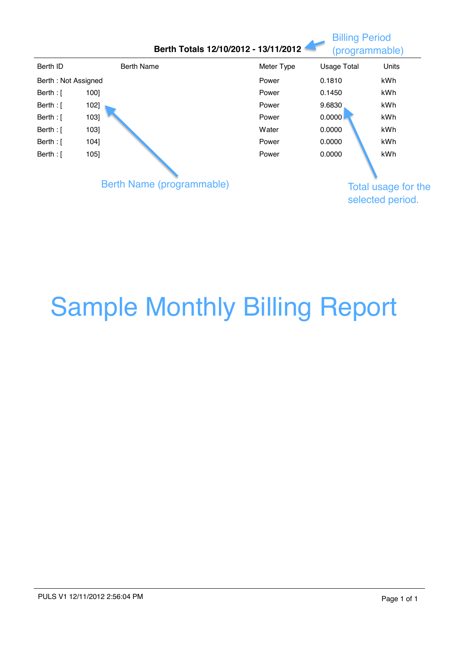|                     |      | Berth Totals 12/10/2012 - 13/11/2012 |            |                    | (programmable)      |
|---------------------|------|--------------------------------------|------------|--------------------|---------------------|
| Berth ID            |      | <b>Berth Name</b>                    | Meter Type | <b>Usage Total</b> | Units               |
| Berth: Not Assigned |      |                                      | Power      | 0.1810             | kWh                 |
| Berth : $\lceil$    | 100] |                                      | Power      | 0.1450             | kWh                 |
| Berth : $\lceil$    | 102] |                                      | Power      | 9.6830             | kWh                 |
| Berth : [           | 103] |                                      | Power      | 0.0000             | kWh                 |
| Berth : $\lceil$    | 103] |                                      | Water      | 0.0000             | kWh                 |
| Berth : $\lceil$    | 104] |                                      | Power      | 0.0000             | kWh                 |
| Berth : [           | 105  |                                      | Power      | 0.0000             | kWh                 |
|                     |      |                                      |            |                    |                     |
|                     |      | Berth Name (programmable)            |            |                    | Total usage for the |
|                     |      |                                      |            |                    | selected period.    |

## Sample Monthly Billing Report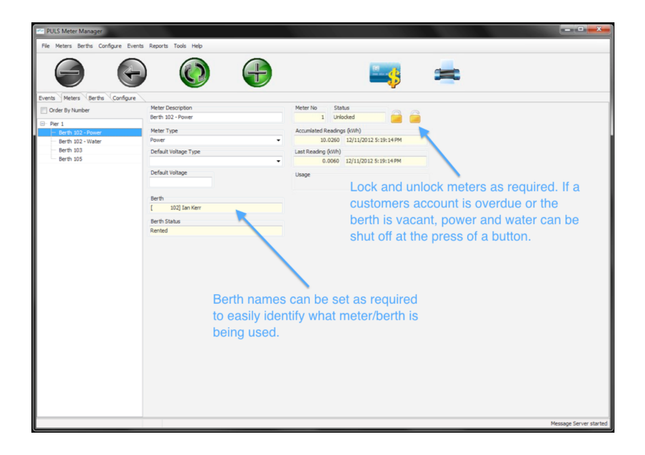